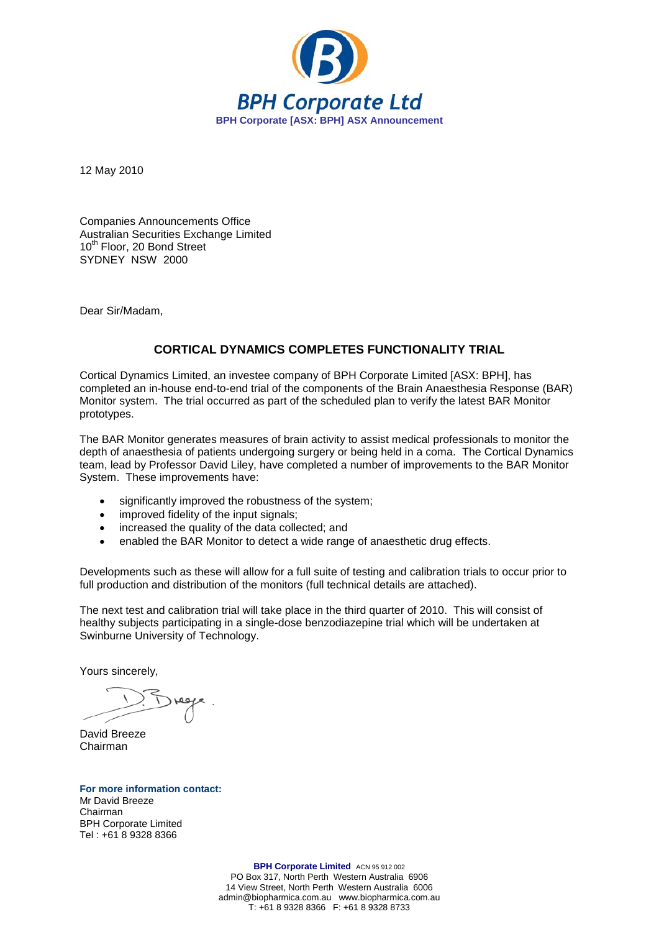

12 May 2010

Companies Announcements Office Australian Securities Exchange Limited 10<sup>th</sup> Floor, 20 Bond Street SYDNEY NSW 2000

Dear Sir/Madam,

## **CORTICAL DYNAMICS COMPLETES FUNCTIONALITY TRIAL**

Cortical Dynamics Limited, an investee company of BPH Corporate Limited [ASX: BPH], has completed an in-house end-to-end trial of the components of the Brain Anaesthesia Response (BAR) Monitor system. The trial occurred as part of the scheduled plan to verify the latest BAR Monitor prototypes.

The BAR Monitor generates measures of brain activity to assist medical professionals to monitor the depth of anaesthesia of patients undergoing surgery or being held in a coma. The Cortical Dynamics team, lead by Professor David Liley, have completed a number of improvements to the BAR Monitor System. These improvements have:

- significantly improved the robustness of the system;
- improved fidelity of the input signals;
- increased the quality of the data collected: and
- enabled the BAR Monitor to detect a wide range of anaesthetic drug effects.

Developments such as these will allow for a full suite of testing and calibration trials to occur prior to full production and distribution of the monitors (full technical details are attached).

The next test and calibration trial will take place in the third quarter of 2010. This will consist of healthy subjects participating in a single-dose benzodiazepine trial which will be undertaken at Swinburne University of Technology.

Yours sincerely,

David Breeze Chairman

**For more information contact:** Mr David Breeze Chairman BPH Corporate Limited Tel : +61 8 9328 8366

> **BPH Corporate Limited** ACN 95 912 002 PO Box 317, North Perth Western Australia 6906 14 View Street, North Perth Western Australia 6006 admin@biopharmica.com.au www.biopharmica.com.au T: +61 8 9328 8366 F: +61 8 9328 8733